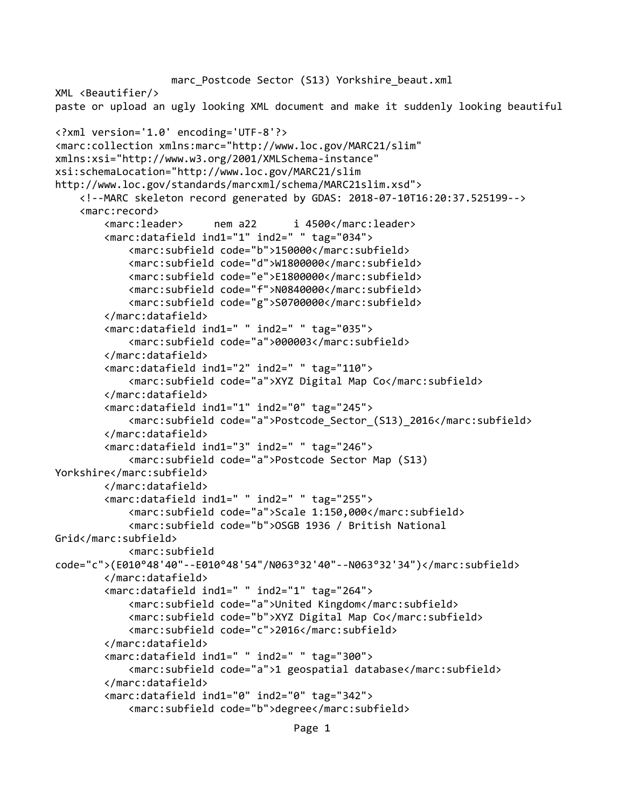```
marc Postcode Sector (S13) Yorkshire beaut.xml
XML <Beautifier/>
paste or upload an ugly looking XML document and make it suddenly looking beautiful
<?xml version='1.0' encoding='UTF-8'?>
<marc:collection xmlns:marc="http://www.loc.gov/MARC21/slim" 
xmlns:xsi="http://www.w3.org/2001/XMLSchema-instance" 
xsi:schemaLocation="http://www.loc.gov/MARC21/slim 
http://www.loc.gov/standards/marcxml/schema/MARC21slim.xsd">
     <!--MARC skeleton record generated by GDAS: 2018-07-10T16:20:37.525199-->
     <marc:record>
         <marc:leader> nem a22 i 4500</marc:leader>
         <marc:datafield ind1="1" ind2=" " tag="034">
             <marc:subfield code="b">150000</marc:subfield>
             <marc:subfield code="d">W1800000</marc:subfield>
             <marc:subfield code="e">E1800000</marc:subfield>
             <marc:subfield code="f">N0840000</marc:subfield>
             <marc:subfield code="g">S0700000</marc:subfield>
         </marc:datafield>
         <marc:datafield ind1=" " ind2=" " tag="035">
             <marc:subfield code="a">000003</marc:subfield>
         </marc:datafield>
         <marc:datafield ind1="2" ind2=" " tag="110">
             <marc:subfield code="a">XYZ Digital Map Co</marc:subfield>
         </marc:datafield>
         <marc:datafield ind1="1" ind2="0" tag="245">
             <marc:subfield code="a">Postcode_Sector_(S13)_2016</marc:subfield>
         </marc:datafield>
         <marc:datafield ind1="3" ind2=" " tag="246">
             <marc:subfield code="a">Postcode Sector Map (S13) 
Yorkshire</marc:subfield>
         </marc:datafield>
         <marc:datafield ind1=" " ind2=" " tag="255">
             <marc:subfield code="a">Scale 1:150,000</marc:subfield>
             <marc:subfield code="b">OSGB 1936 / British National 
Grid</marc:subfield>
             <marc:subfield 
code="c">(E010°48'40"--E010°48'54"/N063°32'40"--N063°32'34")</marc:subfield>
         </marc:datafield>
         <marc:datafield ind1=" " ind2="1" tag="264">
             <marc:subfield code="a">United Kingdom</marc:subfield>
             <marc:subfield code="b">XYZ Digital Map Co</marc:subfield>
             <marc:subfield code="c">2016</marc:subfield>
         </marc:datafield>
         <marc:datafield ind1=" " ind2=" " tag="300">
             <marc:subfield code="a">1 geospatial database</marc:subfield>
         </marc:datafield>
         <marc:datafield ind1="0" ind2="0" tag="342">
             <marc:subfield code="b">degree</marc:subfield>
```